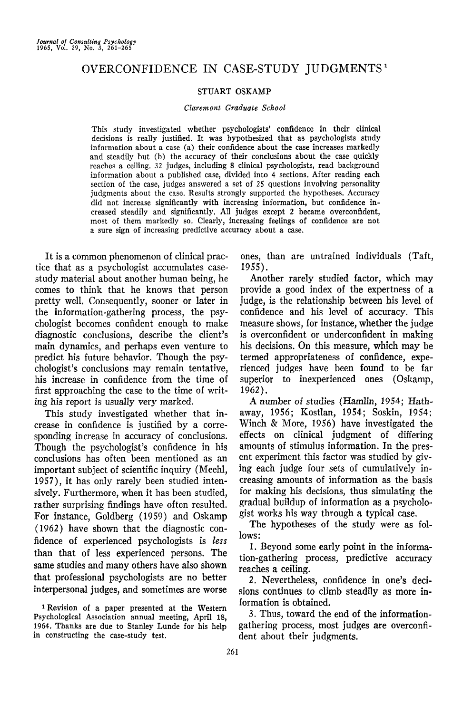# OVERCONFIDENCE IN CASE-STUDY JUDGMENTS<sup>1</sup>

# STUART OSKAMP

## *Claremont Graduate School*

This study investigated whether psychologists' confidence in their clinical decisions is really justified. It was hypothesized that as psychologists study information about a case (a) their confidence about the case increases markedly and steadily but (b) the accuracy of their conclusions about the case quickly reaches a ceiling. 32 judges, including 8 clinical psychologists, read background information about a published case, divided into 4 sections. After reading each section of the case, judges answered a set of 25 questions involving personality judgments about the case. Results strongly supported the hypotheses. Accuracy did not increase significantly with increasing information, but confidence increased steadily and significantly. All judges except 2 became overconfident, most of them markedly so. Clearly, increasing feelings of confidence are not a sure sign of increasing predictive accuracy about a case.

It is a common phenomenon of clinical practice that as a psychologist accumulates casestudy material about another human being, he comes to think that he knows that person pretty well. Consequently, sooner or later in the information-gathering process, the psychologist becomes confident enough to make diagnostic conclusions, describe the client's main dynamics, and perhaps even venture to predict his future behavior. Though the psychologist's conclusions may remain tentative, his increase in confidence from the time of first approaching the case to the time of writing his report is usually very marked.

This study investigated whether that increase in confidence is justified by a corresponding increase in accuracy of conclusions. Though the psychologist's confidence in his conclusions has often been mentioned as an important subject of scientific inquiry (Meehl, 1957), it has only rarely been studied intensively. Furthermore, when it has been studied, rather surprising findings have often resulted. For instance, Goldberg (1959) and Oskamp (1962) have shown that the diagnostic confidence of experienced psychologists is *less* than that of less experienced persons. The same studies and many others have also shown that professional psychologists are no better interpersonal judges, and sometimes are worse

1 Revision of a paper presented at the Western Psychological Association annual meeting, April 18, 1964. Thanks are due to Stanley Lunde for his help in constructing the case-study test.

ones, than are untrained individuals (Taft, 1955).

Another rarely studied factor, which may provide a good index of the expertness of a judge, is the relationship between his level of confidence and his level of accuracy. This measure shows, for instance, whether the judge is overconfident or underconfident in making his decisions. On this measure, which may be termed appropriateness of confidence, experienced judges have been found to be far superior to inexperienced ones (Oskamp, 1962).

A number of studies (Hamlin, 1954; Hathaway, 1956; Kostlan, 1954; Soskin, 1954; Winch & More, 1956) have investigated the effects on clinical judgment of differing amounts of stimulus information. In the present experiment this factor was studied by giving each judge four sets of cumulatively increasing amounts of information as the basis for making his decisions, thus simulating the gradual buildup of information as a psychologist works his way through a typical case.

The hypotheses of the study were as follows:

1. Beyond some early point in the information-gathering process, predictive accuracy reaches a ceiling.

2. Nevertheless, confidence in one's decisions continues to climb steadily as more information is obtained.

3. Thus, toward the end of the informationgathering process, most judges are overconfident about their judgments.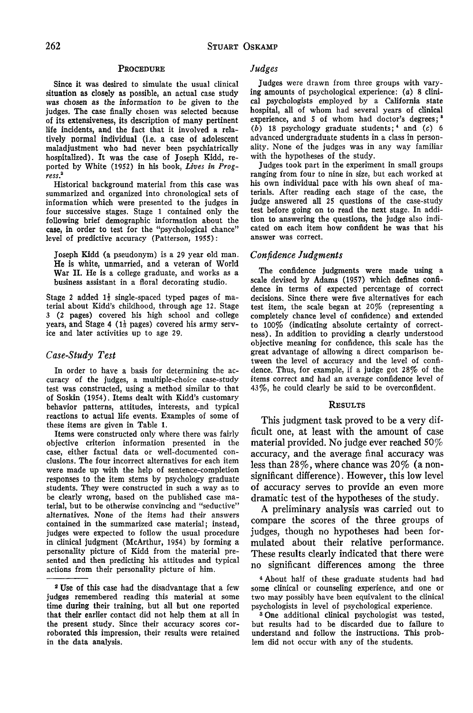## **PROCEDURE**

Since it was desired to simulate the usual clinical situation as closely as possible, an actual case study was chosen as the information to be given to the judges. The case finally chosen was selected because of its extensiveness, its description of many pertinent life incidents, and the fact that it involved a relatively normal individual (i.e. a case of adolescent maladjustment who had never been psychiatrically hospitalized). It was the case of Joseph Kidd, reported by White (1952) in his book, *Lives in Progress."*

Historical background material from this case was summarized and organized into chronological sets of information which were presented to the judges in four successive stages. Stage 1 contained only the following brief demographic information about the case, in order to test for the "psychological chance" level of predictive accuracy (Patterson, 1955):

Joseph Kidd (a pseudonym) is a 29 year old man. He is white, unmarried, and a veteran of World War II. He is a college graduate, and works as a business assistant in a floral decorating studio.

Stage 2 added  $1\frac{1}{2}$  single-spaced typed pages of material about Kidd's childhood, through age 12. Stage 3 (2 pages) covered his high school and college years, and Stage 4 (1<sup>}</sup> pages) covered his army service and later activities up to age 29.

# *Case-Study Test*

In order to have a basis for determining the accuracy of the judges, a multiple-choice case-study test was constructed, using a method similar to that of Soskin (1954). Items dealt with Kidd's customary behavior patterns, attitudes, interests, and typical reactions to actual life events. Examples of some of these items are given in Table 1.

Items were constructed only where there was fairly objective criterion information presented in the case, either factual data or well-documented conclusions. The four incorrect alternatives for each item were made up with the help of sentence-completion responses to the item stems by psychology graduate students. They were constructed in such a way as to be clearly wrong, based on the published case material, but to be otherwise convincing and "seductive" alternatives. None of the items had their answers contained in the summarized case material; instead, judges were expected to follow the usual procedure in clinical judgment (McArthur, 1954) by forming a personality picture of Kidd from the material presented and then predicting his attitudes and typical actions from their personality picture of him.

## *Judges*

Judges were drawn from three groups with varying amounts of psychological experience: *(a)* 8 clinical psychologists employed by a California state hospital, all of whom had several years of clinical experience, and 5 of whom had doctor's degrees; <sup>8</sup>  $(b)$  18 psychology graduate students;  $4$  and  $(c)$  6 advanced undergraduate students in a class in personality. None of the judges was in any way familiar with the hypotheses of the study.

Judges took part in the experiment in small groups ranging from four to nine in size, but each worked at his own individual pace with his own sheaf of materials. After reading each stage of the case, the judge answered all 25 questions of the case-study test before going on to read the next stage. In addition to answering the questions, the judge also indicated on each item how confident he was that his answer was correct.

# *Confidence Judgments*

The confidence judgments were made using a scale devised by Adams (1957) which defines confidence in terms of expected percentage of correct decisions. Since there were five alternatives for each test item, the scale began at 20% (representing a completely chance level of confidence) and extended to 100% (indicating absolute certainty of correctness). In addition to providing a clearly understood objective meaning for confidence, this scale has the great advantage of allowing a direct comparison between the level of accuracy and the level of confidence. Thus, for example, if a judge got 28% of the items correct and had an average confidence level of 43%, he could clearly be said to be overconfident.

#### **RESULTS**

This judgment task proved to be a very difficult one, at least with the amount of case material provided. No judge ever reached 50% accuracy, and the average final accuracy was less than 28%, where chance was *20%* (a nonsignificant difference). However, this low level of accuracy serves to provide an even more dramatic test of the hypotheses of the study.

A preliminary analysis was carried out to compare the scores of the three groups of judges, though no hypotheses had been formulated about their relative performance. These results clearly indicated that there were no significant differences among the three

4 About half of these graduate students had had some clinical or counseling experience, and one or two may possibly have been equivalent to the clinical psychologists in level of psychological experience.

3 One additional clinical psychologist was tested, but results had to be discarded due to failure to understand and follow the instructions. This problem did not occur with any of the students.

<sup>2</sup> Use of this case had the disadvantage that a few judges remembered reading this material at some time during their training, but all but one reported that their earlier contact did not help them at all in the present study. Since their accuracy scores corroborated this impression, their results were retained in the data analysis.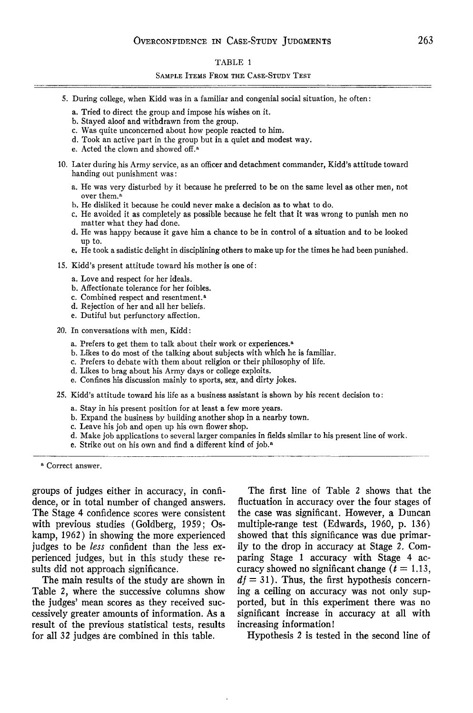## TABLE 1

SAMPLE ITEMS FROM THE CASE-STUDY TEST

- S. During college, when Kidd was in a familiar and congenial social situation, he often:
	- a. Tried to direct the group and impose his wishes on it.
	- b. Stayed aloof and withdrawn from the group.
	- c. Was quite unconcerned about how people reacted to him.
	- d. Took an active part in the group but in a quiet and modest way.
	- e. Acted the clown and showed off.<sup>8</sup>
- 10. Later during his Army service, as an officer and detachment commander, Kidd's attitude toward handing out punishment was:
	- a. He was very disturbed by it because he preferred to be on the same level as other men, not over them.<sup>8</sup>
	- b. He disliked it because he could never make a decision as to what to do.
	- c. He avoided it as completely as possible because he felt that it was wrong to punish men no matter what they had done.
	- d. He was happy because it gave him a chance to be in control of a situation and to be looked up to.
	- e. He took a sadistic delight in disciplining others to make up for the times he had been punished.
- IS. Kidd's present attitude toward his mother is one of:
	- a. Love and respect for her ideals.
	- b. Affectionate tolerance for her foibles.
	- c. Combined respect and resentment.<sup>8</sup>
	- d. Rejection of her and all her beliefs.
	- e. Dutiful but perfunctory affection.
- 20. In conversations with men, Kidd:
	- a. Prefers to get them to talk about their work or experiences.<sup>8</sup>
	- b. Likes to do most of the talking about subjects with which he is familiar.
	- c. Prefers to debate with them about religion or their philosophy of life.
	- d. Likes to brag about his Army days or college exploits.
	- e. Confines his discussion mainly to sports, sex, and dirty jokes.
- 25. Kidd's attitude toward his life as a business assistant is shown by his recent decision to:
	- a. Stay in his present position for at least a few more years.
	- b. Expand the business by building another shop in a nearby town.
	- c. Leave his job and open up his own flower shop.
	- d. Make job applications to several larger companies in fields similar to his present line of work.
	- e. Strike out on his own and find a different kind of job.<sup>a</sup>

<sup>a</sup> Correct answer.

groups of judges either in accuracy, in confi- The first line of Table 2 shows that the dence, or in total number of changed answers, fluctuation in accuracy over the four stages of The Stage 4 confidence scores were consistent the case was significant. However, a Duncan with previous studies (Goldberg, 1959; Os- multiple-range test (Edwards, 1960, p. 136) with previous studies (Goldberg, 1959; Oskamp, 1962) in showing the more experienced showed that this significance was due primarjudges to be *less* confident than the less ex- ily to the drop in accuracy at Stage 2. Comperienced judges, but in this study these re- paring Stage 1 accuracy with Stage 4 acsults did not approach significance. curacy showed no significant change  $(t = 1.13,$ 

Table 2, where the successive columns show ing a ceiling on accuracy was not only supthe judges' mean scores as they received sue- ported, but in this experiment there was no cessively greater amounts of information. As a significant increase in accuracy at all with result of the previous statistical tests, results increasing information! result of the previous statistical tests, results for all 32 judges are combined in this table. Hypothesis 2 is tested in the second line of

The main results of the study are shown in  $df = 31$ ). Thus, the first hypothesis concern-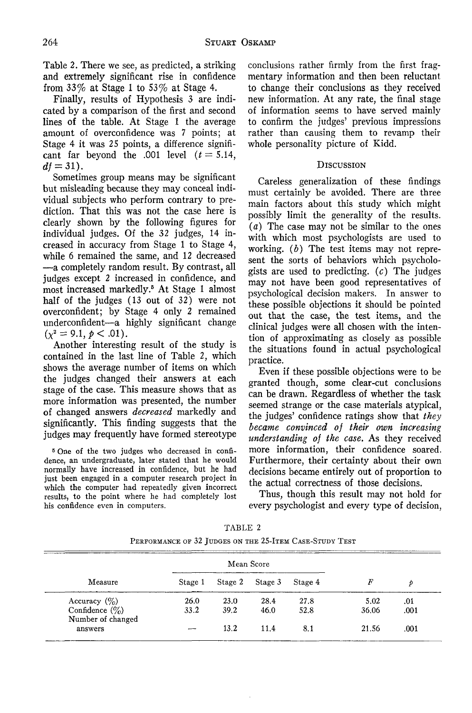Table 2. There we see, as predicted, a striking and extremely significant rise in confidence from  $33\%$  at Stage 1 to  $53\%$  at Stage 4.

Finally, results of Hypothesis 3 are indicated by a comparison of the first and second lines of the table. At Stage 1 the average amount of overconfidence was 7 points; at Stage 4 it was 25 points, a difference significant far beyond the .001 level  $(t = 5.14,$  $dt = 31$ .

Sometimes group means may be significant but misleading because they may conceal individual subjects who perform contrary to prediction. That this was not the case here is clearly shown by the following figures for individual judges. Of the 32 judges, 14 increased in accuracy from Stage 1 to Stage 4, while 6 remained the same, and 12 decreased —a completely random result. By contrast, all judges except 2 increased in confidence, and most increased markedly.<sup>6</sup> At Stage 1 almost half of the judges (13 out of 32) were not overconfident; by Stage 4 only 2 remained underconfident—a highly significant change  $(y^2 = 9.1, p < .01).$ 

Another interesting result of the study is contained in the last line of Table 2, which shows the average number of items on which the judges changed their answers at each stage of the case. This measure shows that as more information was presented, the number of changed answers *decreased* markedly and significantly. This finding suggests that the judges may frequently have formed stereotype

5 One of the two judges who decreased in confidence, an undergraduate, later stated that he would normally have increased in confidence, but he had just been engaged in a computer research project in which the computer had repeatedly given incorrect results, to the point where he had completely lost his confidence even in computers.

conclusions rather firmly from the first fragmentary information and then been reluctant to change their conclusions as they received new information. At any rate, the final stage of information seems to have served mainly to confirm the judges' previous impressions rather than causing them to revamp their whole personality picture of Kidd.

# **DISCUSSION**

Careless generalization of these findings must certainly be avoided. There are three main factors about this study which might possibly limit the generality of the results, (a) The case may not be similar to the ones with which most psychologists are used to working, *(b)* The test items may not represent the sorts of behaviors which psychologists are used to predicting, *(c)* The judges may not have been good representatives of psychological decision makers. In answer to these possible objections it should be pointed out that the case, the test items, and the clinical judges were all chosen with the intention of approximating as closely as possible the situations found in actual psychological practice.

Even if these possible objections were to be granted though, some clear-cut conclusions can be drawn. Regardless of whether the task seemed strange or the case materials atypical, the judges' confidence ratings show that *they became convinced of their own increasing understanding of the case.* As they received more information, their confidence soared. Furthermore, their certainty about their own decisions became entirely out of proportion to the actual correctness of those decisions.

Thus, though this result may not hold for every psychologist and every type of decision,

| TABLE 2 |                                                         |  |  |  |  |  |  |  |  |
|---------|---------------------------------------------------------|--|--|--|--|--|--|--|--|
|         | PERFORMANCE OF 32 JUDGES ON THE 25-ITEM CASE-STUDY TEST |  |  |  |  |  |  |  |  |

| Measure                                | Mean Score |      |                 |         |       |      |
|----------------------------------------|------------|------|-----------------|---------|-------|------|
|                                        | Stage 1    |      | Stage 2 Stage 3 | Stage 4 |       |      |
| Accuracy $(\%)$                        | 26.0       | 23.0 | 28.4            | 27.8    | 5.02  | .01  |
| Confidence $(\%)$<br>Number of changed | 33.2       | 39.2 | 46.0            | 52.8    | 36.06 | .001 |
| answers                                |            | 13.2 | 11.4            | 8.1     | 21.56 | .001 |